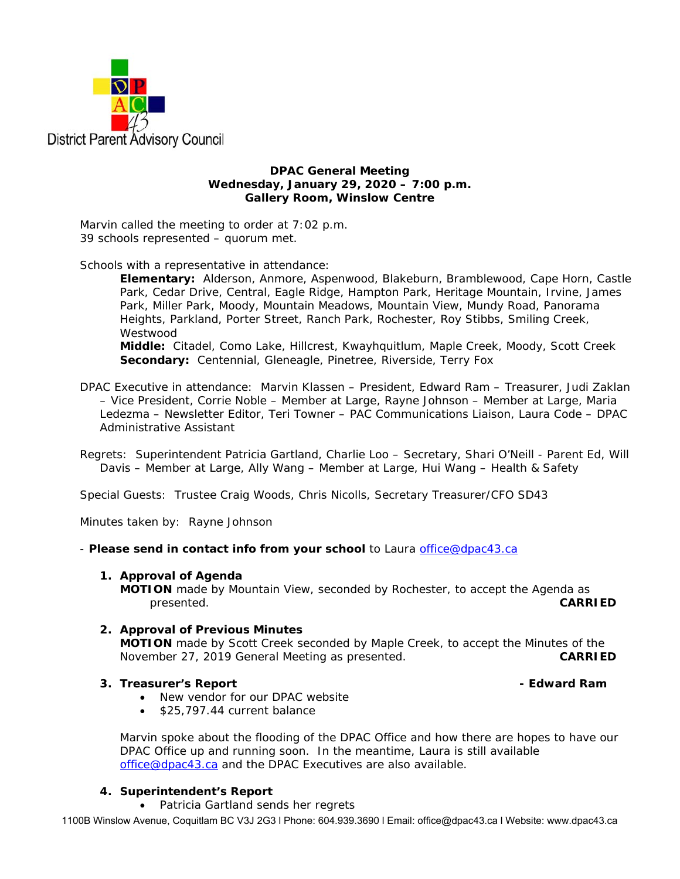

## **DPAC General Meeting Wednesday, January 29, 2020 – 7:00 p.m. Gallery Room, Winslow Centre**

Marvin called the meeting to order at 7:02 p.m. 39 schools represented – quorum met.

Schools with a representative in attendance:

**Elementary:** Alderson, Anmore, Aspenwood, Blakeburn, Bramblewood, Cape Horn, Castle Park, Cedar Drive, Central, Eagle Ridge, Hampton Park, Heritage Mountain, Irvine, James Park, Miller Park, Moody, Mountain Meadows, Mountain View, Mundy Road, Panorama Heights, Parkland, Porter Street, Ranch Park, Rochester, Roy Stibbs, Smiling Creek, Westwood

**Middle:** Citadel, Como Lake, Hillcrest, Kwayhquitlum, Maple Creek, Moody, Scott Creek **Secondary:** Centennial, Gleneagle, Pinetree, Riverside, Terry Fox

- DPAC Executive in attendance: Marvin Klassen President, Edward Ram Treasurer, Judi Zaklan – Vice President, Corrie Noble – Member at Large, Rayne Johnson – Member at Large, Maria Ledezma – Newsletter Editor, Teri Towner – PAC Communications Liaison, Laura Code – DPAC Administrative Assistant
- Regrets: Superintendent Patricia Gartland, Charlie Loo Secretary, Shari O'Neill Parent Ed, Will Davis – Member at Large, Ally Wang – Member at Large, Hui Wang – Health & Safety

Special Guests: Trustee Craig Woods, Chris Nicolls, Secretary Treasurer/CFO SD43

Minutes taken by: Rayne Johnson

- *Please send in contact info from your school* to Laura office@dpac43.ca

### **1. Approval of Agenda**

**MOTION** made by Mountain View, seconded by Rochester, to accept the Agenda as presented. **CARRIED** 

## **2. Approval of Previous Minutes**

 **MOTION** made by Scott Creek seconded by Maple Creek, to accept the Minutes of the November 27, 2019 General Meeting as presented. **CARRIED** 

# **3. Treasurer's Report** *CONDER <b>EDWARD CONDER* **CONDER Edward Ram CONDER**

- New vendor for our DPAC website
- \$25,797.44 current balance

Marvin spoke about the flooding of the DPAC Office and how there are hopes to have our DPAC Office up and running soon. In the meantime, Laura is still available office@dpac43.ca and the DPAC Executives are also available.

## **4. Superintendent's Report**

• Patricia Gartland sends her regrets

1100B Winslow Avenue, Coquitlam BC V3J 2G3 l Phone: 604.939.3690 l Email: office@dpac43.ca l Website: www.dpac43.ca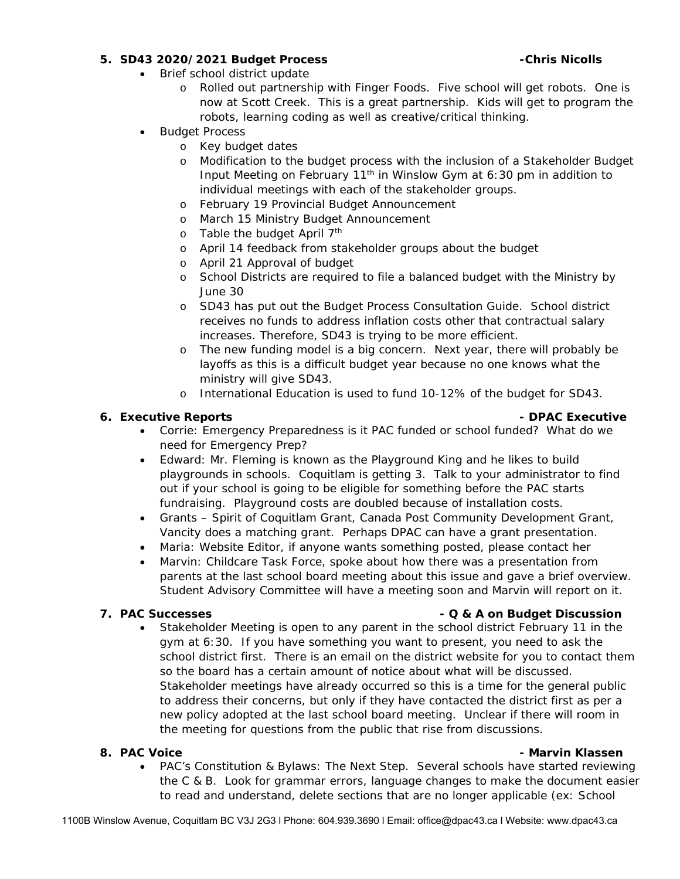# **5. SD43 2020/2021 Budget Process -Chris Nicolls**

- Brief school district update
	- o Rolled out partnership with Finger Foods. Five school will get robots. One is now at Scott Creek. This is a great partnership. Kids will get to program the robots, learning coding as well as creative/critical thinking.
- Budget Process
	- o Key budget dates
	- o Modification to the budget process with the inclusion of a Stakeholder Budget Input Meeting on February 11<sup>th</sup> in Winslow Gym at 6:30 pm in addition to individual meetings with each of the stakeholder groups.
	- o February 19 Provincial Budget Announcement
	- o March 15 Ministry Budget Announcement
	- o Table the budget April  $7<sup>th</sup>$
	- o April 14 feedback from stakeholder groups about the budget
	- o April 21 Approval of budget
	- o School Districts are required to file a balanced budget with the Ministry by June 30
	- o SD43 has put out the Budget Process Consultation Guide. School district receives no funds to address inflation costs other that contractual salary increases. Therefore, SD43 is trying to be more efficient.
	- o The new funding model is a big concern. Next year, there will probably be layoffs as this is a difficult budget year because no one knows what the ministry will give SD43.
	- o International Education is used to fund 10-12% of the budget for SD43.

# **6. Executive Reports - DPAC Executive**

- Corrie: Emergency Preparedness is it PAC funded or school funded? What do we need for Emergency Prep?
- Edward: Mr. Fleming is known as the Playground King and he likes to build playgrounds in schools. Coquitlam is getting 3. Talk to your administrator to find out if your school is going to be eligible for something before the PAC starts fundraising. Playground costs are doubled because of installation costs.
- Grants Spirit of Coquitlam Grant, Canada Post Community Development Grant, Vancity does a matching grant. Perhaps DPAC can have a grant presentation.
- Maria: Website Editor, if anyone wants something posted, please contact her
- Marvin: Childcare Task Force, spoke about how there was a presentation from parents at the last school board meeting about this issue and gave a brief overview. Student Advisory Committee will have a meeting soon and Marvin will report on it.

# **7.** PAC Successes **2. PAC Successes 1. PAC Successes 1. PAC Successes 1. PAC SUCCESS**

 Stakeholder Meeting is open to any parent in the school district February 11 in the gym at 6:30. If you have something you want to present, you need to ask the school district first. There is an email on the district website for you to contact them so the board has a certain amount of notice about what will be discussed. Stakeholder meetings have already occurred so this is a time for the general public to address their concerns, but only if they have contacted the district first as per a new policy adopted at the last school board meeting. Unclear if there will room in the meeting for questions from the public that rise from discussions.

## **8. PAC Voice** - Marvin Klassen - Marvin Klassen - Marvin Klassen - Marvin Klassen - Marvin Klassen

 PAC's Constitution & Bylaws: The Next Step. Several schools have started reviewing the C & B. Look for grammar errors, language changes to make the document easier to read and understand, delete sections that are no longer applicable (ex: School